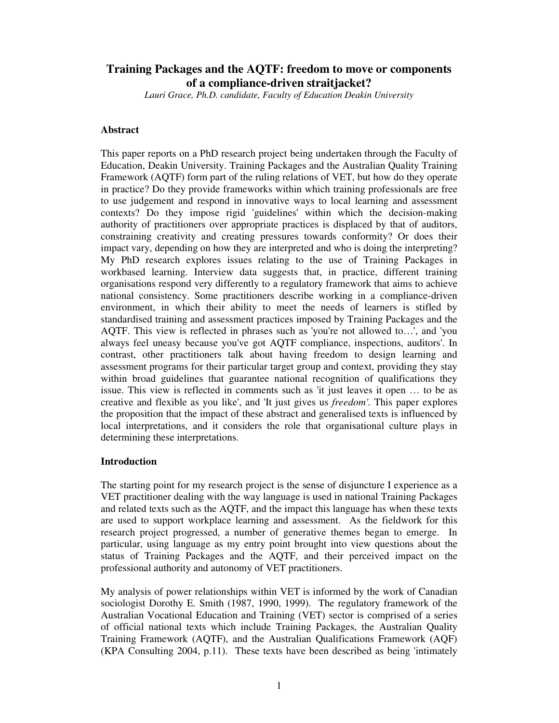# **Training Packages and the AQTF: freedom to move or components of a compliance-driven straitjacket?**

*Lauri Grace, Ph.D. candidate, Faculty of Education Deakin University*

# **Abstract**

This paper reports on a PhD research project being undertaken through the Faculty of Education, Deakin University. Training Packages and the Australian Quality Training Framework (AQTF) form part of the ruling relations of VET, but how do they operate in practice? Do they provide frameworks within which training professionals are free to use judgement and respond in innovative ways to local learning and assessment contexts? Do they impose rigid 'guidelines' within which the decision-making authority of practitioners over appropriate practices is displaced by that of auditors, constraining creativity and creating pressures towards conformity? Or does their impact vary, depending on how they are interpreted and who is doing the interpreting? My PhD research explores issues relating to the use of Training Packages in workbased learning. Interview data suggests that, in practice, different training organisations respond very differently to a regulatory framework that aims to achieve national consistency. Some practitioners describe working in a compliance-driven environment, in which their ability to meet the needs of learners is stifled by standardised training and assessment practices imposed by Training Packages and the AQTF. This view is reflected in phrases such as 'you're not allowed to…', and 'you always feel uneasy because you've got AQTF compliance, inspections, auditors'. In contrast, other practitioners talk about having freedom to design learning and assessment programs for their particular target group and context, providing they stay within broad guidelines that guarantee national recognition of qualifications they issue. This view is reflected in comments such as 'it just leaves it open … to be as creative and flexible as you like', and 'It just gives us *freedom'*. This paper explores the proposition that the impact of these abstract and generalised texts is influenced by local interpretations, and it considers the role that organisational culture plays in determining these interpretations.

# **Introduction**

The starting point for my research project is the sense of disjuncture I experience as a VET practitioner dealing with the way language is used in national Training Packages and related texts such as the AQTF, and the impact this language has when these texts are used to support workplace learning and assessment. As the fieldwork for this research project progressed, a number of generative themes began to emerge. In particular, using language as my entry point brought into view questions about the status of Training Packages and the AQTF, and their perceived impact on the professional authority and autonomy of VET practitioners.

My analysis of power relationships within VET is informed by the work of Canadian sociologist Dorothy E. Smith (1987, 1990, 1999). The regulatory framework of the Australian Vocational Education and Training (VET) sector is comprised of a series of official national texts which include Training Packages, the Australian Quality Training Framework (AQTF), and the Australian Qualifications Framework (AQF) (KPA Consulting 2004, p.11). These texts have been described as being 'intimately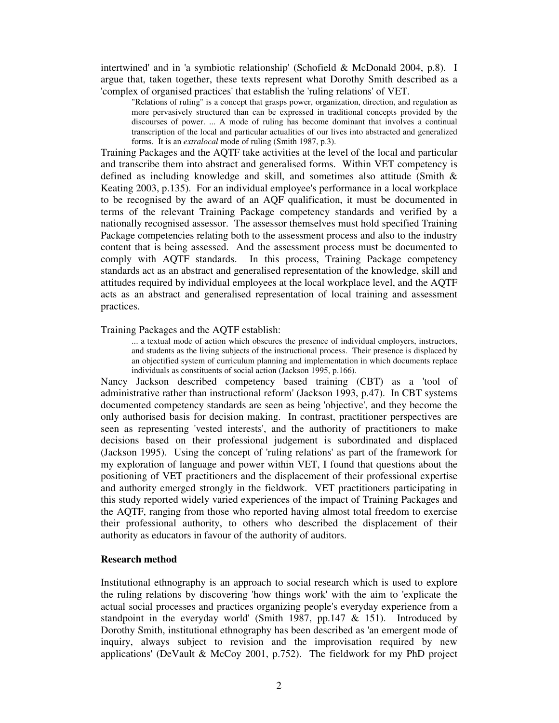intertwined' and in 'a symbiotic relationship' (Schofield & McDonald 2004, p.8). I argue that, taken together, these texts represent what Dorothy Smith described as a 'complex of organised practices' that establish the 'ruling relations' of VET.

"Relations of ruling" is a concept that grasps power, organization, direction, and regulation as more pervasively structured than can be expressed in traditional concepts provided by the discourses of power. ... A mode of ruling has become dominant that involves a continual transcription of the local and particular actualities of our lives into abstracted and generalized forms. It is an *extralocal* mode of ruling (Smith 1987, p.3).

Training Packages and the AQTF take activities at the level of the local and particular and transcribe them into abstract and generalised forms. Within VET competency is defined as including knowledge and skill, and sometimes also attitude (Smith & Keating 2003, p.135). For an individual employee's performance in a local workplace to be recognised by the award of an AQF qualification, it must be documented in terms of the relevant Training Package competency standards and verified by a nationally recognised assessor. The assessor themselves must hold specified Training Package competencies relating both to the assessment process and also to the industry content that is being assessed. And the assessment process must be documented to comply with AQTF standards. In this process, Training Package competency standards act as an abstract and generalised representation of the knowledge, skill and attitudes required by individual employees at the local workplace level, and the AQTF acts as an abstract and generalised representation of local training and assessment practices.

## Training Packages and the AQTF establish:

... a textual mode of action which obscures the presence of individual employers, instructors, and students as the living subjects of the instructional process. Their presence is displaced by an objectified system of curriculum planning and implementation in which documents replace individuals as constituents of social action (Jackson 1995, p.166).

Nancy Jackson described competency based training (CBT) as a 'tool of administrative rather than instructional reform' (Jackson 1993, p.47). In CBT systems documented competency standards are seen as being 'objective', and they become the only authorised basis for decision making. In contrast, practitioner perspectives are seen as representing 'vested interests', and the authority of practitioners to make decisions based on their professional judgement is subordinated and displaced (Jackson 1995). Using the concept of 'ruling relations' as part of the framework for my exploration of language and power within VET, I found that questions about the positioning of VET practitioners and the displacement of their professional expertise and authority emerged strongly in the fieldwork. VET practitioners participating in this study reported widely varied experiences of the impact of Training Packages and the AQTF, ranging from those who reported having almost total freedom to exercise their professional authority, to others who described the displacement of their authority as educators in favour of the authority of auditors.

# **Research method**

Institutional ethnography is an approach to social research which is used to explore the ruling relations by discovering 'how things work' with the aim to 'explicate the actual social processes and practices organizing people's everyday experience from a standpoint in the everyday world' (Smith 1987, pp. 147  $\&$  151). Introduced by Dorothy Smith, institutional ethnography has been described as 'an emergent mode of inquiry, always subject to revision and the improvisation required by new applications' (DeVault & McCoy 2001, p.752). The fieldwork for my PhD project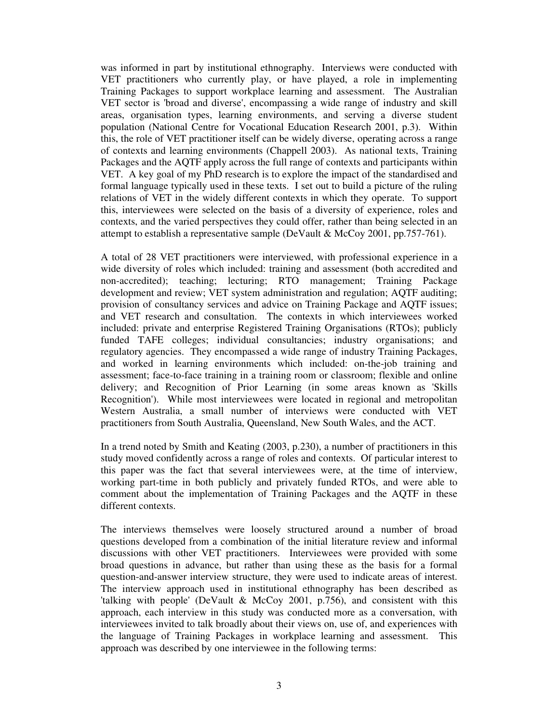was informed in part by institutional ethnography. Interviews were conducted with VET practitioners who currently play, or have played, a role in implementing Training Packages to support workplace learning and assessment. The Australian VET sector is 'broad and diverse', encompassing a wide range of industry and skill areas, organisation types, learning environments, and serving a diverse student population (National Centre for Vocational Education Research 2001, p.3). Within this, the role of VET practitioner itself can be widely diverse, operating across a range of contexts and learning environments (Chappell 2003). As national texts, Training Packages and the AQTF apply across the full range of contexts and participants within VET. A key goal of my PhD research is to explore the impact of the standardised and formal language typically used in these texts. I set out to build a picture of the ruling relations of VET in the widely different contexts in which they operate. To support this, interviewees were selected on the basis of a diversity of experience, roles and contexts, and the varied perspectives they could offer, rather than being selected in an attempt to establish a representative sample (DeVault & McCoy 2001, pp.757-761).

A total of 28 VET practitioners were interviewed, with professional experience in a wide diversity of roles which included: training and assessment (both accredited and non-accredited); teaching; lecturing; RTO management; Training Package development and review; VET system administration and regulation; AQTF auditing; provision of consultancy services and advice on Training Package and AQTF issues; and VET research and consultation. The contexts in which interviewees worked included: private and enterprise Registered Training Organisations (RTOs); publicly funded TAFE colleges; individual consultancies; industry organisations; and regulatory agencies. They encompassed a wide range of industry Training Packages, and worked in learning environments which included: on-the-job training and assessment; face-to-face training in a training room or classroom; flexible and online delivery; and Recognition of Prior Learning (in some areas known as 'Skills Recognition'). While most interviewees were located in regional and metropolitan Western Australia, a small number of interviews were conducted with VET practitioners from South Australia, Queensland, New South Wales, and the ACT.

In a trend noted by Smith and Keating (2003, p.230), a number of practitioners in this study moved confidently across a range of roles and contexts. Of particular interest to this paper was the fact that several interviewees were, at the time of interview, working part-time in both publicly and privately funded RTOs, and were able to comment about the implementation of Training Packages and the AQTF in these different contexts.

The interviews themselves were loosely structured around a number of broad questions developed from a combination of the initial literature review and informal discussions with other VET practitioners. Interviewees were provided with some broad questions in advance, but rather than using these as the basis for a formal question-and-answer interview structure, they were used to indicate areas of interest. The interview approach used in institutional ethnography has been described as 'talking with people' (DeVault & McCoy 2001, p.756), and consistent with this approach, each interview in this study was conducted more as a conversation, with interviewees invited to talk broadly about their views on, use of, and experiences with the language of Training Packages in workplace learning and assessment. This approach was described by one interviewee in the following terms: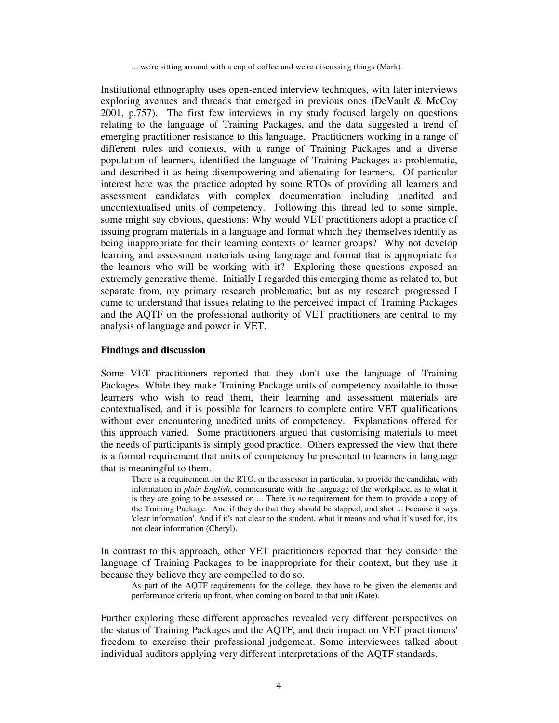... we're sitting around with a cup of coffee and we're discussing things (Mark).

Institutional ethnography uses open-ended interview techniques, with later interviews exploring avenues and threads that emerged in previous ones (DeVault & McCoy 2001, p.757). The first few interviews in my study focused largely on questions relating to the language of Training Packages, and the data suggested a trend of emerging practitioner resistance to this language. Practitioners working in a range of different roles and contexts, with a range of Training Packages and a diverse population of learners, identified the language of Training Packages as problematic, and described it as being disempowering and alienating for learners. Of particular interest here was the practice adopted by some RTOs of providing all learners and assessment candidates with complex documentation including unedited and uncontextualised units of competency. Following this thread led to some simple, some might say obvious, questions: Why would VET practitioners adopt a practice of issuing program materials in a language and format which they themselves identify as being inappropriate for their learning contexts or learner groups? Why not develop learning and assessment materials using language and format that is appropriate for the learners who will be working with it? Exploring these questions exposed an extremely generative theme. Initially I regarded this emerging theme as related to, but separate from, my primary research problematic; but as my research progressed I came to understand that issues relating to the perceived impact of Training Packages and the AQTF on the professional authority of VET practitioners are central to my analysis of language and power in VET.

## **Findings and discussion**

Some VET practitioners reported that they don't use the language of Training Packages. While they make Training Package units of competency available to those learners who wish to read them, their learning and assessment materials are contextualised, and it is possible for learners to complete entire VET qualifications without ever encountering unedited units of competency. Explanations offered for this approach varied. Some practitioners argued that customising materials to meet the needs of participants is simply good practice. Others expressed the view that there is a formal requirement that units of competency be presented to learners in language that is meaningful to them.

There is a requirement for the RTO, or the assessor in particular, to provide the candidate with information in *plain English*, commensurate with the language of the workplace, as to what it is they are going to be assessed on ... There is *no* requirement for them to provide a copy of the Training Package. And if they do that they should be slapped, and shot ... because it says 'clear information'. And if it's not clear to the student, what it means and what it's used for, it's not clear information (Cheryl).

In contrast to this approach, other VET practitioners reported that they consider the language of Training Packages to be inappropriate for their context, but they use it because they believe they are compelled to do so.

As part of the AQTF requirements for the college, they have to be given the elements and performance criteria up front, when coming on board to that unit (Kate).

Further exploring these different approaches revealed very different perspectives on the status of Training Packages and the AQTF, and their impact on VET practitioners' freedom to exercise their professional judgement. Some interviewees talked about individual auditors applying very different interpretations of the AQTF standards.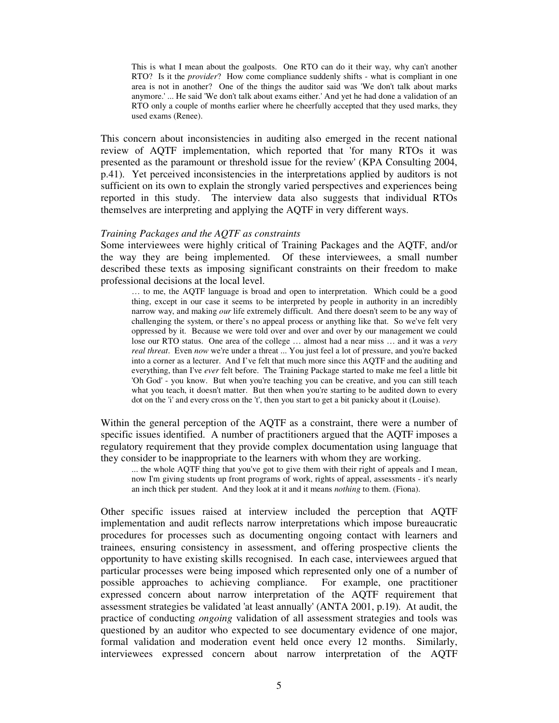This is what I mean about the goalposts. One RTO can do it their way, why can't another RTO? Is it the *provider*? How come compliance suddenly shifts - what is compliant in one area is not in another? One of the things the auditor said was 'We don't talk about marks anymore.' ... He said 'We don't talk about exams either.' And yet he had done a validation of an RTO only a couple of months earlier where he cheerfully accepted that they used marks, they used exams (Renee).

This concern about inconsistencies in auditing also emerged in the recent national review of AQTF implementation, which reported that 'for many RTOs it was presented as the paramount or threshold issue for the review' (KPA Consulting 2004, p.41). Yet perceived inconsistencies in the interpretations applied by auditors is not sufficient on its own to explain the strongly varied perspectives and experiences being reported in this study. The interview data also suggests that individual RTOs themselves are interpreting and applying the AQTF in very different ways.

#### *Training Packages and the AQTF as constraints*

Some interviewees were highly critical of Training Packages and the AQTF, and/or the way they are being implemented. Of these interviewees, a small number described these texts as imposing significant constraints on their freedom to make professional decisions at the local level.

… to me, the AQTF language is broad and open to interpretation. Which could be a good thing, except in our case it seems to be interpreted by people in authority in an incredibly narrow way, and making *our* life extremely difficult. And there doesn't seem to be any way of challenging the system, or there's no appeal process or anything like that. So we've felt very oppressed by it. Because we were told over and over and over by our management we could lose our RTO status. One area of the college … almost had a near miss … and it was a *very real threat*. Even *now* we're under a threat ... You just feel a lot of pressure, and you're backed into a corner as a lecturer. And I've felt that much more since this AQTF and the auditing and everything, than I've *ever* felt before. The Training Package started to make me feel a little bit 'Oh God' - you know. But when you're teaching you can be creative, and you can still teach what you teach, it doesn't matter. But then when you're starting to be audited down to every dot on the 'i' and every cross on the 't', then you start to get a bit panicky about it (Louise).

Within the general perception of the AQTF as a constraint, there were a number of specific issues identified. A number of practitioners argued that the AQTF imposes a regulatory requirement that they provide complex documentation using language that they consider to be inappropriate to the learners with whom they are working.

... the whole AQTF thing that you've got to give them with their right of appeals and I mean, now I'm giving students up front programs of work, rights of appeal, assessments - it's nearly an inch thick per student. And they look at it and it means *nothing* to them. (Fiona).

Other specific issues raised at interview included the perception that AQTF implementation and audit reflects narrow interpretations which impose bureaucratic procedures for processes such as documenting ongoing contact with learners and trainees, ensuring consistency in assessment, and offering prospective clients the opportunity to have existing skills recognised. In each case, interviewees argued that particular processes were being imposed which represented only one of a number of possible approaches to achieving compliance. For example, one practitioner expressed concern about narrow interpretation of the AQTF requirement that assessment strategies be validated 'at least annually' (ANTA 2001, p.19). At audit, the practice of conducting *ongoing* validation of all assessment strategies and tools was questioned by an auditor who expected to see documentary evidence of one major, formal validation and moderation event held once every 12 months. Similarly, interviewees expressed concern about narrow interpretation of the AQTF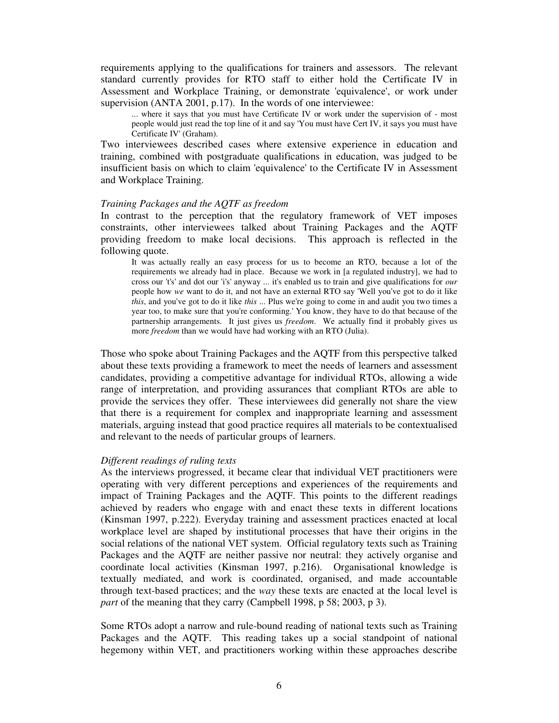requirements applying to the qualifications for trainers and assessors. The relevant standard currently provides for RTO staff to either hold the Certificate IV in Assessment and Workplace Training, or demonstrate 'equivalence', or work under supervision (ANTA 2001, p.17). In the words of one interviewee:

... where it says that you must have Certificate IV or work under the supervision of - most people would just read the top line of it and say 'You must have Cert IV, it says you must have Certificate IV' (Graham).

Two interviewees described cases where extensive experience in education and training, combined with postgraduate qualifications in education, was judged to be insufficient basis on which to claim 'equivalence' to the Certificate IV in Assessment and Workplace Training.

#### *Training Packages and the AQTF as freedom*

In contrast to the perception that the regulatory framework of VET imposes constraints, other interviewees talked about Training Packages and the AQTF providing freedom to make local decisions. This approach is reflected in the following quote.

It was actually really an easy process for us to become an RTO, because a lot of the requirements we already had in place. Because we work in [a regulated industry], we had to cross our 't's' and dot our 'i's' anyway ... it's enabled us to train and give qualifications for *our* people how *we* want to do it, and not have an external RTO say 'Well you've got to do it like *this*, and you've got to do it like *this* ... Plus we're going to come in and audit you two times a year too, to make sure that you're conforming.' You know, they have to do that because of the partnership arrangements. It just gives us *freedom*. We actually find it probably gives us more *freedom* than we would have had working with an RTO (Julia).

Those who spoke about Training Packages and the AQTF from this perspective talked about these texts providing a framework to meet the needs of learners and assessment candidates, providing a competitive advantage for individual RTOs, allowing a wide range of interpretation, and providing assurances that compliant RTOs are able to provide the services they offer. These interviewees did generally not share the view that there is a requirement for complex and inappropriate learning and assessment materials, arguing instead that good practice requires all materials to be contextualised and relevant to the needs of particular groups of learners.

# *Different readings of ruling texts*

As the interviews progressed, it became clear that individual VET practitioners were operating with very different perceptions and experiences of the requirements and impact of Training Packages and the AQTF. This points to the different readings achieved by readers who engage with and enact these texts in different locations (Kinsman 1997, p.222). Everyday training and assessment practices enacted at local workplace level are shaped by institutional processes that have their origins in the social relations of the national VET system. Official regulatory texts such as Training Packages and the AQTF are neither passive nor neutral: they actively organise and coordinate local activities (Kinsman 1997, p.216). Organisational knowledge is textually mediated, and work is coordinated, organised, and made accountable through text-based practices; and the *way* these texts are enacted at the local level is *part* of the meaning that they carry (Campbell 1998, p 58; 2003, p 3).

Some RTOs adopt a narrow and rule-bound reading of national texts such as Training Packages and the AQTF. This reading takes up a social standpoint of national hegemony within VET, and practitioners working within these approaches describe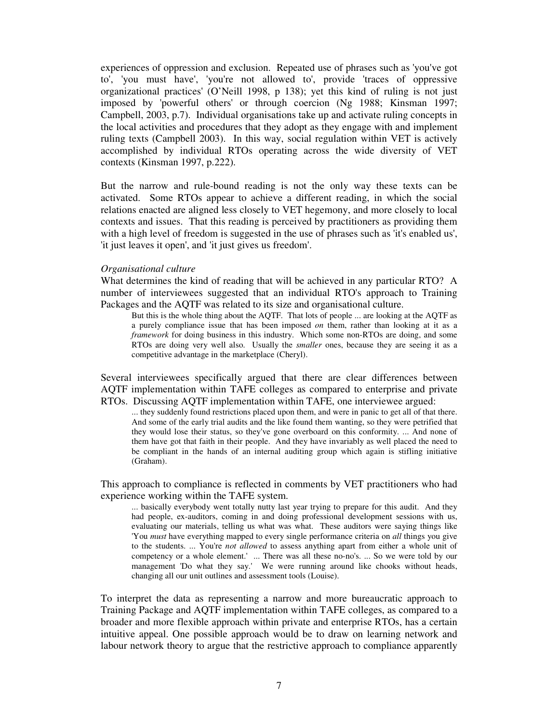experiences of oppression and exclusion. Repeated use of phrases such as 'you've got to', 'you must have', 'you're not allowed to', provide 'traces of oppressive organizational practices' (O'Neill 1998, p 138); yet this kind of ruling is not just imposed by 'powerful others' or through coercion (Ng 1988; Kinsman 1997; Campbell, 2003, p.7). Individual organisations take up and activate ruling concepts in the local activities and procedures that they adopt as they engage with and implement ruling texts (Campbell 2003). In this way, social regulation within VET is actively accomplished by individual RTOs operating across the wide diversity of VET contexts (Kinsman 1997, p.222).

But the narrow and rule-bound reading is not the only way these texts can be activated. Some RTOs appear to achieve a different reading, in which the social relations enacted are aligned less closely to VET hegemony, and more closely to local contexts and issues. That this reading is perceived by practitioners as providing them with a high level of freedom is suggested in the use of phrases such as 'it's enabled us', 'it just leaves it open', and 'it just gives us freedom'.

## *Organisational culture*

What determines the kind of reading that will be achieved in any particular RTO? A number of interviewees suggested that an individual RTO's approach to Training Packages and the AQTF was related to its size and organisational culture.

But this is the whole thing about the AQTF. That lots of people ... are looking at the AQTF as a purely compliance issue that has been imposed *on* them, rather than looking at it as a *framework* for doing business in this industry. Which some non-RTOs are doing, and some RTOs are doing very well also. Usually the *smaller* ones, because they are seeing it as a competitive advantage in the marketplace (Cheryl).

Several interviewees specifically argued that there are clear differences between AQTF implementation within TAFE colleges as compared to enterprise and private RTOs. Discussing AQTF implementation within TAFE, one interviewee argued:

... they suddenly found restrictions placed upon them, and were in panic to get all of that there. And some of the early trial audits and the like found them wanting, so they were petrified that they would lose their status, so they've gone overboard on this conformity. ... And none of them have got that faith in their people. And they have invariably as well placed the need to be compliant in the hands of an internal auditing group which again is stifling initiative (Graham).

This approach to compliance is reflected in comments by VET practitioners who had experience working within the TAFE system.

... basically everybody went totally nutty last year trying to prepare for this audit. And they had people, ex-auditors, coming in and doing professional development sessions with us, evaluating our materials, telling us what was what. These auditors were saying things like 'You *must* have everything mapped to every single performance criteria on *all* things you give to the students. ... You're *not allowed* to assess anything apart from either a whole unit of competency or a whole element.' ... There was all these no-no's. ... So we were told by our management 'Do what they say.' We were running around like chooks without heads, changing all our unit outlines and assessment tools (Louise).

To interpret the data as representing a narrow and more bureaucratic approach to Training Package and AQTF implementation within TAFE colleges, as compared to a broader and more flexible approach within private and enterprise RTOs, has a certain intuitive appeal. One possible approach would be to draw on learning network and labour network theory to argue that the restrictive approach to compliance apparently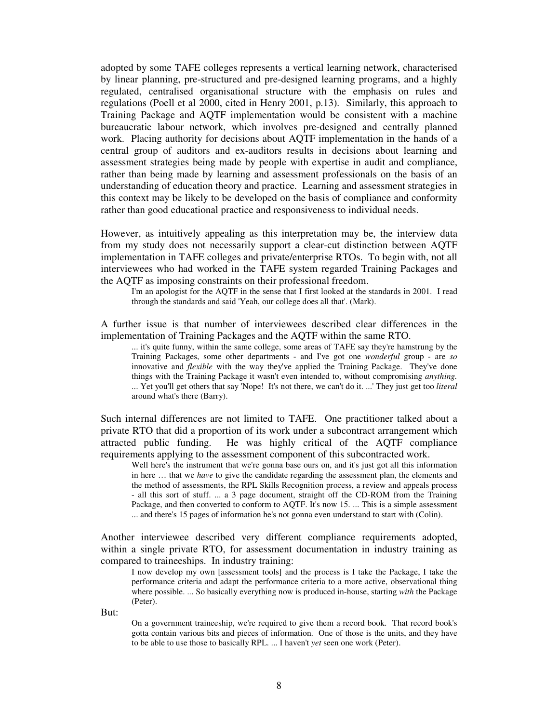adopted by some TAFE colleges represents a vertical learning network, characterised by linear planning, pre-structured and pre-designed learning programs, and a highly regulated, centralised organisational structure with the emphasis on rules and regulations (Poell et al 2000, cited in Henry 2001, p.13). Similarly, this approach to Training Package and AQTF implementation would be consistent with a machine bureaucratic labour network, which involves pre-designed and centrally planned work. Placing authority for decisions about AQTF implementation in the hands of a central group of auditors and ex-auditors results in decisions about learning and assessment strategies being made by people with expertise in audit and compliance, rather than being made by learning and assessment professionals on the basis of an understanding of education theory and practice. Learning and assessment strategies in this context may be likely to be developed on the basis of compliance and conformity rather than good educational practice and responsiveness to individual needs.

However, as intuitively appealing as this interpretation may be, the interview data from my study does not necessarily support a clear-cut distinction between AQTF implementation in TAFE colleges and private/enterprise RTOs. To begin with, not all interviewees who had worked in the TAFE system regarded Training Packages and the AQTF as imposing constraints on their professional freedom.

I'm an apologist for the AQTF in the sense that I first looked at the standards in 2001. I read through the standards and said 'Yeah, our college does all that'. (Mark).

A further issue is that number of interviewees described clear differences in the implementation of Training Packages and the AQTF within the same RTO.

... it's quite funny, within the same college, some areas of TAFE say they're hamstrung by the Training Packages, some other departments - and I've got one *wonderful* group - are *so* innovative and *flexible* with the way they've applied the Training Package. They've done things with the Training Package it wasn't even intended to, without compromising *anything.* ... Yet you'll get others that say 'Nope! It's not there, we can't do it. ...' They just get too *literal* around what's there (Barry).

Such internal differences are not limited to TAFE. One practitioner talked about a private RTO that did a proportion of its work under a subcontract arrangement which attracted public funding. He was highly critical of the AQTF compliance requirements applying to the assessment component of this subcontracted work.

Well here's the instrument that we're gonna base ours on, and it's just got all this information in here … that we *have* to give the candidate regarding the assessment plan, the elements and the method of assessments, the RPL Skills Recognition process, a review and appeals process - all this sort of stuff. ... a 3 page document, straight off the CD-ROM from the Training Package, and then converted to conform to AQTF. It's now 15. ... This is a simple assessment ... and there's 15 pages of information he's not gonna even understand to start with (Colin).

Another interviewee described very different compliance requirements adopted, within a single private RTO, for assessment documentation in industry training as compared to traineeships. In industry training:

I now develop my own [assessment tools] and the process is I take the Package, I take the performance criteria and adapt the performance criteria to a more active, observational thing where possible. ... So basically everything now is produced in-house, starting *with* the Package (Peter).

But:

On a government traineeship, we're required to give them a record book. That record book's gotta contain various bits and pieces of information. One of those is the units, and they have to be able to use those to basically RPL. ... I haven't *yet* seen one work (Peter).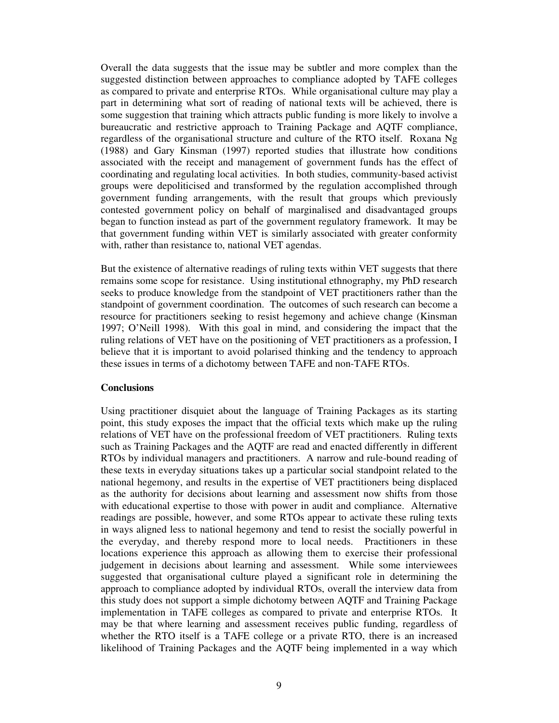Overall the data suggests that the issue may be subtler and more complex than the suggested distinction between approaches to compliance adopted by TAFE colleges as compared to private and enterprise RTOs. While organisational culture may play a part in determining what sort of reading of national texts will be achieved, there is some suggestion that training which attracts public funding is more likely to involve a bureaucratic and restrictive approach to Training Package and AQTF compliance, regardless of the organisational structure and culture of the RTO itself. Roxana Ng (1988) and Gary Kinsman (1997) reported studies that illustrate how conditions associated with the receipt and management of government funds has the effect of coordinating and regulating local activities. In both studies, community-based activist groups were depoliticised and transformed by the regulation accomplished through government funding arrangements, with the result that groups which previously contested government policy on behalf of marginalised and disadvantaged groups began to function instead as part of the government regulatory framework. It may be that government funding within VET is similarly associated with greater conformity with, rather than resistance to, national VET agendas.

But the existence of alternative readings of ruling texts within VET suggests that there remains some scope for resistance. Using institutional ethnography, my PhD research seeks to produce knowledge from the standpoint of VET practitioners rather than the standpoint of government coordination. The outcomes of such research can become a resource for practitioners seeking to resist hegemony and achieve change (Kinsman 1997; O'Neill 1998). With this goal in mind, and considering the impact that the ruling relations of VET have on the positioning of VET practitioners as a profession, I believe that it is important to avoid polarised thinking and the tendency to approach these issues in terms of a dichotomy between TAFE and non-TAFE RTOs.

# **Conclusions**

Using practitioner disquiet about the language of Training Packages as its starting point, this study exposes the impact that the official texts which make up the ruling relations of VET have on the professional freedom of VET practitioners. Ruling texts such as Training Packages and the AQTF are read and enacted differently in different RTOs by individual managers and practitioners. A narrow and rule-bound reading of these texts in everyday situations takes up a particular social standpoint related to the national hegemony, and results in the expertise of VET practitioners being displaced as the authority for decisions about learning and assessment now shifts from those with educational expertise to those with power in audit and compliance. Alternative readings are possible, however, and some RTOs appear to activate these ruling texts in ways aligned less to national hegemony and tend to resist the socially powerful in the everyday, and thereby respond more to local needs. Practitioners in these locations experience this approach as allowing them to exercise their professional judgement in decisions about learning and assessment. While some interviewees suggested that organisational culture played a significant role in determining the approach to compliance adopted by individual RTOs, overall the interview data from this study does not support a simple dichotomy between AQTF and Training Package implementation in TAFE colleges as compared to private and enterprise RTOs. It may be that where learning and assessment receives public funding, regardless of whether the RTO itself is a TAFE college or a private RTO, there is an increased likelihood of Training Packages and the AQTF being implemented in a way which